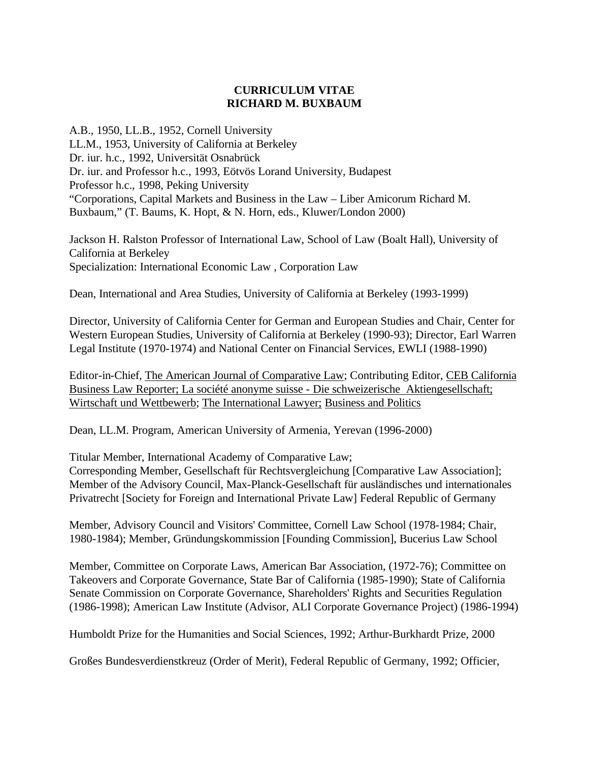# **CURRICULUM VITAE RICHARD M. BUXBAUM**

A.B., 1950, LL.B., 1952, Cornell University LL.M., 1953, University of California at Berkeley Dr. iur. h.c., 1992, Universität Osnabrück Dr. iur. and Professor h.c., 1993, Eötvös Lorand University, Budapest Professor h.c., 1998, Peking University "Corporations, Capital Markets and Business in the Law – Liber Amicorum Richard M. Buxbaum," (T. Baums, K. Hopt, & N. Horn, eds., Kluwer/London 2000)

Jackson H. Ralston Professor of International Law, School of Law (Boalt Hall), University of California at Berkeley Specialization: International Economic Law , Corporation Law

Dean, International and Area Studies, University of California at Berkeley (1993-1999)

Director, University of California Center for German and European Studies and Chair, Center for Western European Studies, University of California at Berkeley (1990-93); Director, Earl Warren Legal Institute (1970-1974) and National Center on Financial Services, EWLI (1988-1990)

Editor-in-Chief, The American Journal of Comparative Law; Contributing Editor, CEB California Business Law Reporter; La société anonyme suisse - Die schweizerische Aktiengesellschaft; Wirtschaft und Wettbewerb; The International Lawyer; Business and Politics

Dean, LL.M. Program, American University of Armenia, Yerevan (1996-2000)

Titular Member, International Academy of Comparative Law;

Corresponding Member, Gesellschaft für Rechtsvergleichung [Comparative Law Association]; Member of the Advisory Council, Max-Planck-Gesellschaft für ausländisches und internationales Privatrecht [Society for Foreign and International Private Law] Federal Republic of Germany

Member, Advisory Council and Visitors' Committee, Cornell Law School (1978-1984; Chair, 1980-1984); Member, Gründungskommission [Founding Commission], Bucerius Law School

Member, Committee on Corporate Laws, American Bar Association, (1972-76); Committee on Takeovers and Corporate Governance, State Bar of California (1985-1990); State of California Senate Commission on Corporate Governance, Shareholders' Rights and Securities Regulation (1986-1998); American Law Institute (Advisor, ALI Corporate Governance Project) (1986-1994)

Humboldt Prize for the Humanities and Social Sciences, 1992; Arthur-Burkhardt Prize, 2000

Großes Bundesverdienstkreuz (Order of Merit), Federal Republic of Germany, 1992; Officier,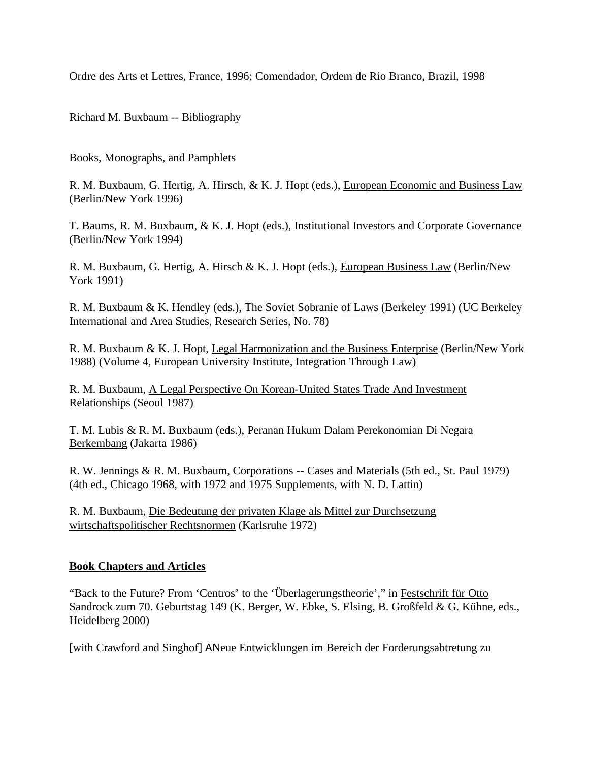Ordre des Arts et Lettres, France, 1996; Comendador, Ordem de Rio Branco, Brazil, 1998

Richard M. Buxbaum -- Bibliography

#### Books, Monographs, and Pamphlets

R. M. Buxbaum, G. Hertig, A. Hirsch, & K. J. Hopt (eds.), European Economic and Business Law (Berlin/New York 1996)

T. Baums, R. M. Buxbaum, & K. J. Hopt (eds.), Institutional Investors and Corporate Governance (Berlin/New York 1994)

R. M. Buxbaum, G. Hertig, A. Hirsch & K. J. Hopt (eds.), European Business Law (Berlin/New York 1991)

R. M. Buxbaum & K. Hendley (eds.), The Soviet Sobranie of Laws (Berkeley 1991) (UC Berkeley International and Area Studies, Research Series, No. 78)

R. M. Buxbaum & K. J. Hopt, Legal Harmonization and the Business Enterprise (Berlin/New York 1988) (Volume 4, European University Institute, Integration Through Law)

R. M. Buxbaum, A Legal Perspective On Korean-United States Trade And Investment Relationships (Seoul 1987)

T. M. Lubis & R. M. Buxbaum (eds.), Peranan Hukum Dalam Perekonomian Di Negara Berkembang (Jakarta 1986)

R. W. Jennings & R. M. Buxbaum, Corporations -- Cases and Materials (5th ed., St. Paul 1979) (4th ed., Chicago 1968, with 1972 and 1975 Supplements, with N. D. Lattin)

R. M. Buxbaum, Die Bedeutung der privaten Klage als Mittel zur Durchsetzung wirtschaftspolitischer Rechtsnormen (Karlsruhe 1972)

# **Book Chapters and Articles**

"Back to the Future? From 'Centros' to the 'Überlagerungstheorie'," in Festschrift für Otto Sandrock zum 70. Geburtstag 149 (K. Berger, W. Ebke, S. Elsing, B. Großfeld & G. Kühne, eds., Heidelberg 2000)

[with Crawford and Singhof] ANeue Entwicklungen im Bereich der Forderungsabtretung zu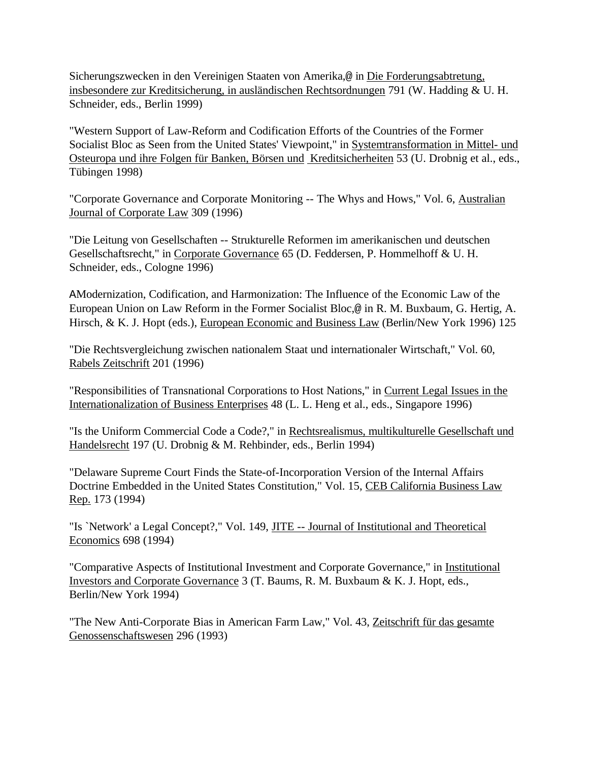Sicherungszwecken in den Vereinigen Staaten von Amerika,@ in Die Forderungsabtretung, insbesondere zur Kreditsicherung, in ausländischen Rechtsordnungen 791 (W. Hadding & U. H. Schneider, eds., Berlin 1999)

"Western Support of Law-Reform and Codification Efforts of the Countries of the Former Socialist Bloc as Seen from the United States' Viewpoint," in Systemtransformation in Mittel- und Osteuropa und ihre Folgen für Banken, Börsen und Kreditsicherheiten 53 (U. Drobnig et al., eds., Tübingen 1998)

"Corporate Governance and Corporate Monitoring -- The Whys and Hows," Vol. 6, Australian Journal of Corporate Law 309 (1996)

"Die Leitung von Gesellschaften -- Strukturelle Reformen im amerikanischen und deutschen Gesellschaftsrecht," in Corporate Governance 65 (D. Feddersen, P. Hommelhoff & U. H. Schneider, eds., Cologne 1996)

AModernization, Codification, and Harmonization: The Influence of the Economic Law of the European Union on Law Reform in the Former Socialist Bloc,@ in R. M. Buxbaum, G. Hertig, A. Hirsch, & K. J. Hopt (eds.), European Economic and Business Law (Berlin/New York 1996) 125

"Die Rechtsvergleichung zwischen nationalem Staat und internationaler Wirtschaft," Vol. 60, Rabels Zeitschrift 201 (1996)

"Responsibilities of Transnational Corporations to Host Nations," in Current Legal Issues in the Internationalization of Business Enterprises 48 (L. L. Heng et al., eds., Singapore 1996)

"Is the Uniform Commercial Code a Code?," in Rechtsrealismus, multikulturelle Gesellschaft und Handelsrecht 197 (U. Drobnig & M. Rehbinder, eds., Berlin 1994)

"Delaware Supreme Court Finds the State-of-Incorporation Version of the Internal Affairs Doctrine Embedded in the United States Constitution," Vol. 15, CEB California Business Law Rep. 173 (1994)

"Is `Network' a Legal Concept?," Vol. 149, JITE -- Journal of Institutional and Theoretical Economics 698 (1994)

"Comparative Aspects of Institutional Investment and Corporate Governance," in Institutional Investors and Corporate Governance 3 (T. Baums, R. M. Buxbaum & K. J. Hopt, eds., Berlin/New York 1994)

"The New Anti-Corporate Bias in American Farm Law," Vol. 43, Zeitschrift für das gesamte Genossenschaftswesen 296 (1993)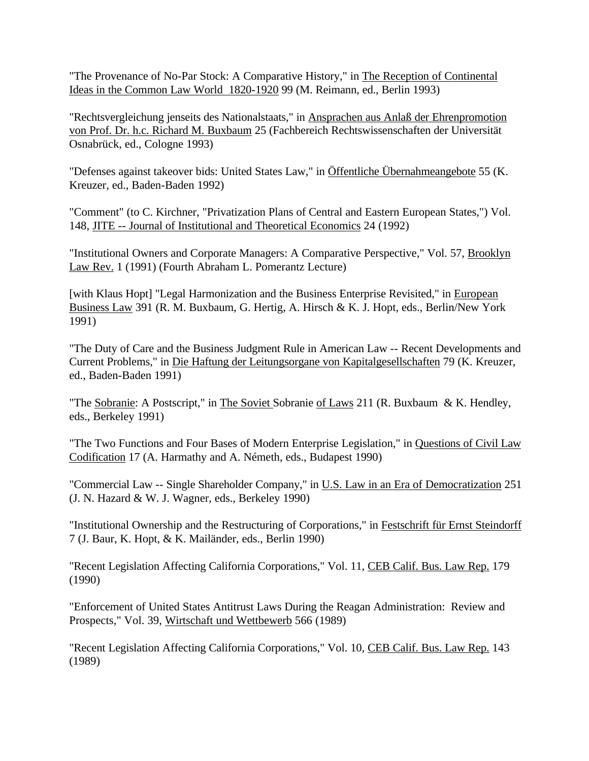"The Provenance of No-Par Stock: A Comparative History," in The Reception of Continental Ideas in the Common Law World 1820-1920 99 (M. Reimann, ed., Berlin 1993)

"Rechtsvergleichung jenseits des Nationalstaats," in Ansprachen aus Anlaß der Ehrenpromotion von Prof. Dr. h.c. Richard M. Buxbaum 25 (Fachbereich Rechtswissenschaften der Universität Osnabrück, ed., Cologne 1993)

"Defenses against takeover bids: United States Law," in Öffentliche Übernahmeangebote 55 (K. Kreuzer, ed., Baden-Baden 1992)

"Comment" (to C. Kirchner, "Privatization Plans of Central and Eastern European States,") Vol. 148, JITE -- Journal of Institutional and Theoretical Economics 24 (1992)

"Institutional Owners and Corporate Managers: A Comparative Perspective," Vol. 57, Brooklyn Law Rev. 1 (1991) (Fourth Abraham L. Pomerantz Lecture)

[with Klaus Hopt] "Legal Harmonization and the Business Enterprise Revisited," in European Business Law 391 (R. M. Buxbaum, G. Hertig, A. Hirsch & K. J. Hopt, eds., Berlin/New York 1991)

"The Duty of Care and the Business Judgment Rule in American Law -- Recent Developments and Current Problems," in Die Haftung der Leitungsorgane von Kapitalgesellschaften 79 (K. Kreuzer, ed., Baden-Baden 1991)

"The Sobranie: A Postscript," in The Soviet Sobranie of Laws 211 (R. Buxbaum & K. Hendley, eds., Berkeley 1991)

"The Two Functions and Four Bases of Modern Enterprise Legislation," in Questions of Civil Law Codification 17 (A. Harmathy and A. Németh, eds., Budapest 1990)

"Commercial Law -- Single Shareholder Company," in U.S. Law in an Era of Democratization 251 (J. N. Hazard & W. J. Wagner, eds., Berkeley 1990)

"Institutional Ownership and the Restructuring of Corporations," in Festschrift für Ernst Steindorff 7 (J. Baur, K. Hopt, & K. Mailänder, eds., Berlin 1990)

"Recent Legislation Affecting California Corporations," Vol. 11, CEB Calif. Bus. Law Rep. 179 (1990)

"Enforcement of United States Antitrust Laws During the Reagan Administration: Review and Prospects," Vol. 39, Wirtschaft und Wettbewerb 566 (1989)

"Recent Legislation Affecting California Corporations," Vol. 10, CEB Calif. Bus. Law Rep. 143 (1989)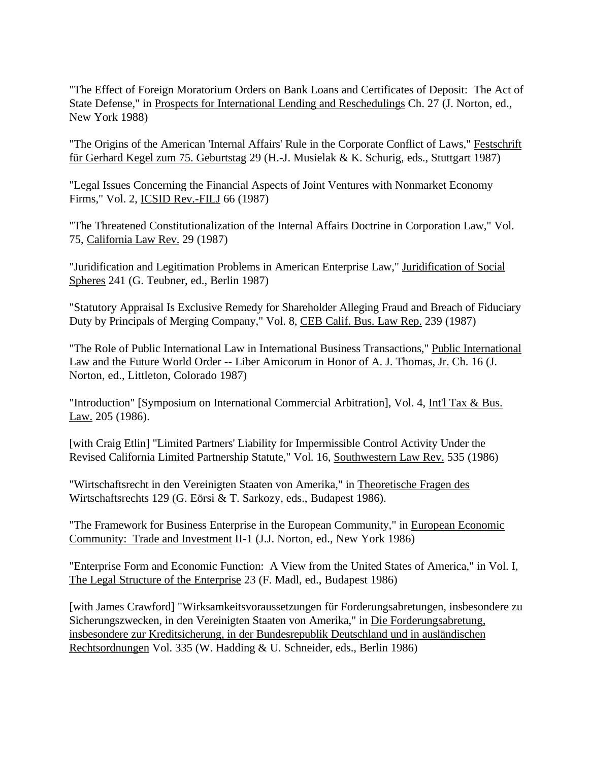"The Effect of Foreign Moratorium Orders on Bank Loans and Certificates of Deposit: The Act of State Defense," in Prospects for International Lending and Reschedulings Ch. 27 (J. Norton, ed., New York 1988)

"The Origins of the American 'Internal Affairs' Rule in the Corporate Conflict of Laws," Festschrift für Gerhard Kegel zum 75. Geburtstag 29 (H.-J. Musielak & K. Schurig, eds., Stuttgart 1987)

"Legal Issues Concerning the Financial Aspects of Joint Ventures with Nonmarket Economy Firms," Vol. 2, ICSID Rev.-FILJ 66 (1987)

"The Threatened Constitutionalization of the Internal Affairs Doctrine in Corporation Law," Vol. 75, California Law Rev. 29 (1987)

"Juridification and Legitimation Problems in American Enterprise Law," Juridification of Social Spheres 241 (G. Teubner, ed., Berlin 1987)

"Statutory Appraisal Is Exclusive Remedy for Shareholder Alleging Fraud and Breach of Fiduciary Duty by Principals of Merging Company," Vol. 8, CEB Calif. Bus. Law Rep. 239 (1987)

"The Role of Public International Law in International Business Transactions," Public International Law and the Future World Order -- Liber Amicorum in Honor of A. J. Thomas, Jr. Ch. 16 (J. Norton, ed., Littleton, Colorado 1987)

"Introduction" [Symposium on International Commercial Arbitration], Vol. 4, Int'l Tax & Bus. Law<sub>2</sub> 205 (1986).

[with Craig Etlin] "Limited Partners' Liability for Impermissible Control Activity Under the Revised California Limited Partnership Statute," Vol. 16, Southwestern Law Rev. 535 (1986)

"Wirtschaftsrecht in den Vereinigten Staaten von Amerika," in Theoretische Fragen des Wirtschaftsrechts 129 (G. Eörsi & T. Sarkozy, eds., Budapest 1986).

"The Framework for Business Enterprise in the European Community," in European Economic Community: Trade and Investment II-1 (J.J. Norton, ed., New York 1986)

"Enterprise Form and Economic Function: A View from the United States of America," in Vol. I, The Legal Structure of the Enterprise 23 (F. Madl, ed., Budapest 1986)

[with James Crawford] "Wirksamkeitsvoraussetzungen für Forderungsabretungen, insbesondere zu Sicherungszwecken, in den Vereinigten Staaten von Amerika," in Die Forderungsabretung, insbesondere zur Kreditsicherung, in der Bundesrepublik Deutschland und in ausländischen Rechtsordnungen Vol. 335 (W. Hadding & U. Schneider, eds., Berlin 1986)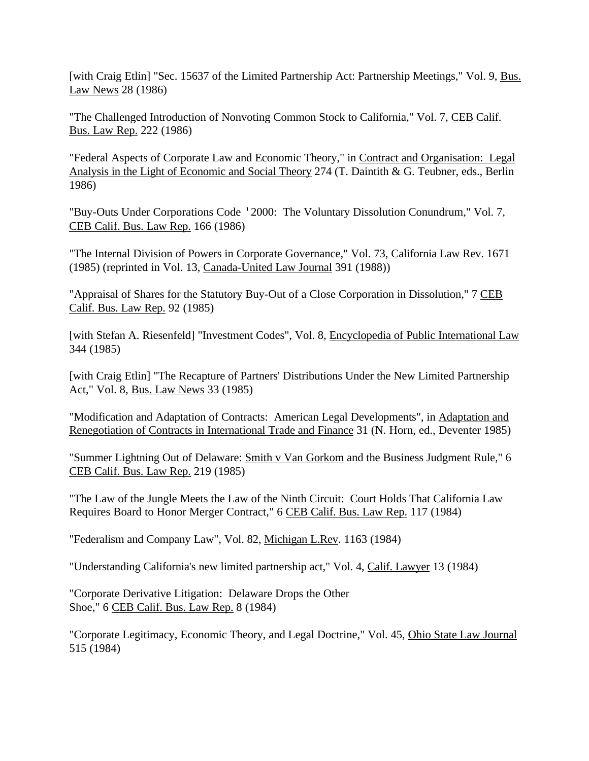[with Craig Etlin] "Sec. 15637 of the Limited Partnership Act: Partnership Meetings," Vol. 9, Bus. Law News 28 (1986)

"The Challenged Introduction of Nonvoting Common Stock to California," Vol. 7, CEB Calif. Bus. Law Rep. 222 (1986)

"Federal Aspects of Corporate Law and Economic Theory," in Contract and Organisation: Legal Analysis in the Light of Economic and Social Theory 274 (T. Daintith & G. Teubner, eds., Berlin 1986)

"Buy-Outs Under Corporations Code '2000: The Voluntary Dissolution Conundrum," Vol. 7, CEB Calif. Bus. Law Rep. 166 (1986)

"The Internal Division of Powers in Corporate Governance," Vol. 73, California Law Rev. 1671 (1985) (reprinted in Vol. 13, Canada-United Law Journal 391 (1988))

"Appraisal of Shares for the Statutory Buy-Out of a Close Corporation in Dissolution," 7 CEB Calif. Bus. Law Rep. 92 (1985)

[with Stefan A. Riesenfeld] "Investment Codes", Vol. 8, Encyclopedia of Public International Law 344 (1985)

[with Craig Etlin] "The Recapture of Partners' Distributions Under the New Limited Partnership Act," Vol. 8, Bus. Law News 33 (1985)

"Modification and Adaptation of Contracts: American Legal Developments", in Adaptation and Renegotiation of Contracts in International Trade and Finance 31 (N. Horn, ed., Deventer 1985)

"Summer Lightning Out of Delaware: Smith v Van Gorkom and the Business Judgment Rule," 6 CEB Calif. Bus. Law Rep. 219 (1985)

"The Law of the Jungle Meets the Law of the Ninth Circuit: Court Holds That California Law Requires Board to Honor Merger Contract," 6 CEB Calif. Bus. Law Rep. 117 (1984)

"Federalism and Company Law", Vol. 82, Michigan L.Rev. 1163 (1984)

"Understanding California's new limited partnership act," Vol. 4, Calif. Lawyer 13 (1984)

"Corporate Derivative Litigation: Delaware Drops the Other Shoe," 6 CEB Calif. Bus. Law Rep. 8 (1984)

"Corporate Legitimacy, Economic Theory, and Legal Doctrine," Vol. 45, Ohio State Law Journal 515 (1984)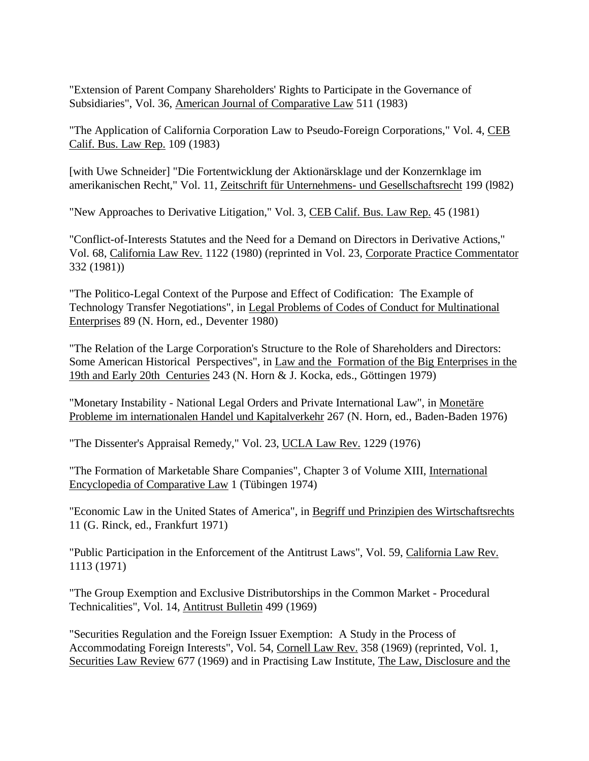"Extension of Parent Company Shareholders' Rights to Participate in the Governance of Subsidiaries", Vol. 36, American Journal of Comparative Law 511 (1983)

"The Application of California Corporation Law to Pseudo-Foreign Corporations," Vol. 4, CEB Calif. Bus. Law Rep. 109 (1983)

[with Uwe Schneider] "Die Fortentwicklung der Aktionärsklage und der Konzernklage im amerikanischen Recht," Vol. 11, Zeitschrift für Unternehmens- und Gesellschaftsrecht 199 (l982)

"New Approaches to Derivative Litigation," Vol. 3, CEB Calif. Bus. Law Rep. 45 (1981)

"Conflict-of-Interests Statutes and the Need for a Demand on Directors in Derivative Actions," Vol. 68, California Law Rev. 1122 (1980) (reprinted in Vol. 23, Corporate Practice Commentator 332 (1981))

"The Politico-Legal Context of the Purpose and Effect of Codification: The Example of Technology Transfer Negotiations", in Legal Problems of Codes of Conduct for Multinational Enterprises 89 (N. Horn, ed., Deventer 1980)

"The Relation of the Large Corporation's Structure to the Role of Shareholders and Directors: Some American Historical Perspectives", in Law and the Formation of the Big Enterprises in the 19th and Early 20th Centuries 243 (N. Horn & J. Kocka, eds., Göttingen 1979)

"Monetary Instability - National Legal Orders and Private International Law", in Monetäre Probleme im internationalen Handel und Kapitalverkehr 267 (N. Horn, ed., Baden-Baden 1976)

"The Dissenter's Appraisal Remedy," Vol. 23, UCLA Law Rev. 1229 (1976)

"The Formation of Marketable Share Companies", Chapter 3 of Volume XIII, International Encyclopedia of Comparative Law 1 (Tübingen 1974)

"Economic Law in the United States of America", in Begriff und Prinzipien des Wirtschaftsrechts 11 (G. Rinck, ed., Frankfurt 1971)

"Public Participation in the Enforcement of the Antitrust Laws", Vol. 59, California Law Rev. 1113 (1971)

"The Group Exemption and Exclusive Distributorships in the Common Market - Procedural Technicalities", Vol. 14, Antitrust Bulletin 499 (1969)

"Securities Regulation and the Foreign Issuer Exemption: A Study in the Process of Accommodating Foreign Interests", Vol. 54, Cornell Law Rev. 358 (1969) (reprinted, Vol. 1, Securities Law Review 677 (1969) and in Practising Law Institute, The Law, Disclosure and the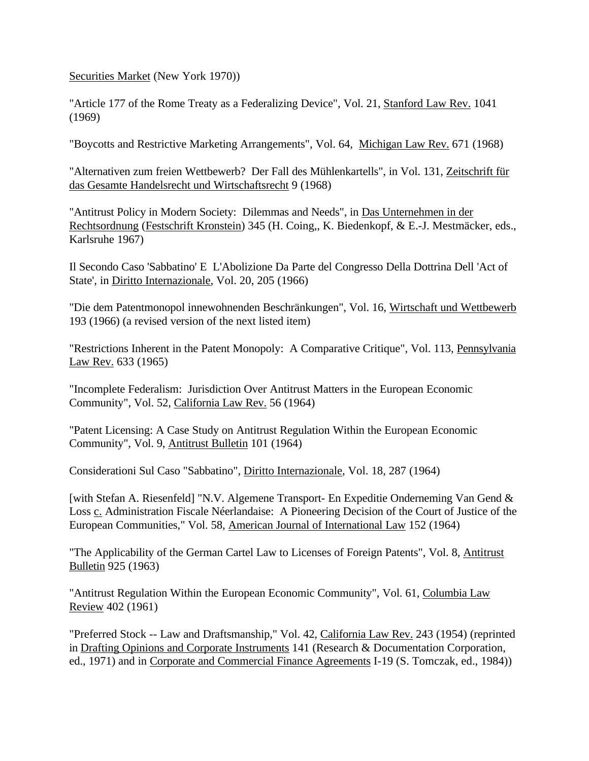Securities Market (New York 1970))

"Article 177 of the Rome Treaty as a Federalizing Device", Vol. 21, Stanford Law Rev. 1041 (1969)

"Boycotts and Restrictive Marketing Arrangements", Vol. 64, Michigan Law Rev. 671 (1968)

"Alternativen zum freien Wettbewerb? Der Fall des Mühlenkartells", in Vol. 131, Zeitschrift für das Gesamte Handelsrecht und Wirtschaftsrecht 9 (1968)

"Antitrust Policy in Modern Society: Dilemmas and Needs", in Das Unternehmen in der Rechtsordnung (Festschrift Kronstein) 345 (H. Coing,, K. Biedenkopf, & E.-J. Mestmäcker, eds., Karlsruhe 1967)

Il Secondo Caso 'Sabbatino' E L'Abolizione Da Parte del Congresso Della Dottrina Dell 'Act of State', in Diritto Internazionale, Vol. 20, 205 (1966)

"Die dem Patentmonopol innewohnenden Beschränkungen", Vol. 16, Wirtschaft und Wettbewerb 193 (1966) (a revised version of the next listed item)

"Restrictions Inherent in the Patent Monopoly: A Comparative Critique", Vol. 113, Pennsylvania Law Rev. 633 (1965)

"Incomplete Federalism: Jurisdiction Over Antitrust Matters in the European Economic Community", Vol. 52, California Law Rev. 56 (1964)

"Patent Licensing: A Case Study on Antitrust Regulation Within the European Economic Community", Vol. 9, Antitrust Bulletin 101 (1964)

Considerationi Sul Caso "Sabbatino", Diritto Internazionale, Vol. 18, 287 (1964)

[with Stefan A. Riesenfeld] "N.V. Algemene Transport- En Expeditie Onderneming Van Gend & Loss c. Administration Fiscale Néerlandaise: A Pioneering Decision of the Court of Justice of the European Communities," Vol. 58, American Journal of International Law 152 (1964)

"The Applicability of the German Cartel Law to Licenses of Foreign Patents", Vol. 8, Antitrust Bulletin 925 (1963)

"Antitrust Regulation Within the European Economic Community", Vol. 61, Columbia Law Review 402 (1961)

"Preferred Stock -- Law and Draftsmanship," Vol. 42, California Law Rev. 243 (1954) (reprinted in Drafting Opinions and Corporate Instruments 141 (Research & Documentation Corporation, ed., 1971) and in Corporate and Commercial Finance Agreements I-19 (S. Tomczak, ed., 1984))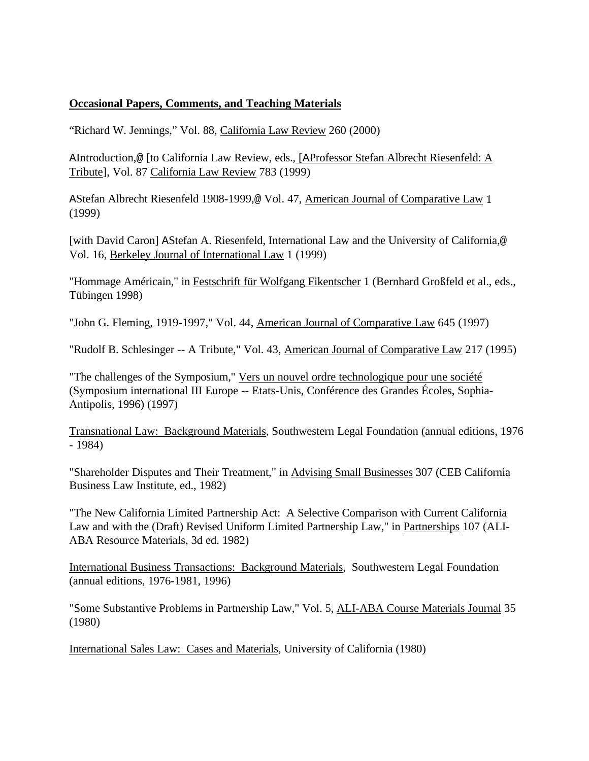### **Occasional Papers, Comments, and Teaching Materials**

"Richard W. Jennings," Vol. 88, California Law Review 260 (2000)

AIntroduction,@ [to California Law Review, eds., [AProfessor Stefan Albrecht Riesenfeld: A Tribute], Vol. 87 California Law Review 783 (1999)

AStefan Albrecht Riesenfeld 1908-1999,@ Vol. 47, American Journal of Comparative Law 1 (1999)

[with David Caron] AStefan A. Riesenfeld, International Law and the University of California,@ Vol. 16, Berkeley Journal of International Law 1 (1999)

"Hommage Américain," in Festschrift für Wolfgang Fikentscher 1 (Bernhard Großfeld et al., eds., Tübingen 1998)

"John G. Fleming, 1919-1997," Vol. 44, American Journal of Comparative Law 645 (1997)

"Rudolf B. Schlesinger -- A Tribute," Vol. 43, American Journal of Comparative Law 217 (1995)

"The challenges of the Symposium," Vers un nouvel ordre technologique pour une société (Symposium international III Europe -- Etats-Unis, Conférence des Grandes Écoles, Sophia-Antipolis, 1996) (1997)

Transnational Law: Background Materials, Southwestern Legal Foundation (annual editions, 1976 - 1984)

"Shareholder Disputes and Their Treatment," in Advising Small Businesses 307 (CEB California Business Law Institute, ed., 1982)

"The New California Limited Partnership Act: A Selective Comparison with Current California Law and with the (Draft) Revised Uniform Limited Partnership Law," in Partnerships 107 (ALI-ABA Resource Materials, 3d ed. 1982)

International Business Transactions: Background Materials, Southwestern Legal Foundation (annual editions, 1976-1981, 1996)

"Some Substantive Problems in Partnership Law," Vol. 5, ALI-ABA Course Materials Journal 35 (1980)

International Sales Law: Cases and Materials, University of California (1980)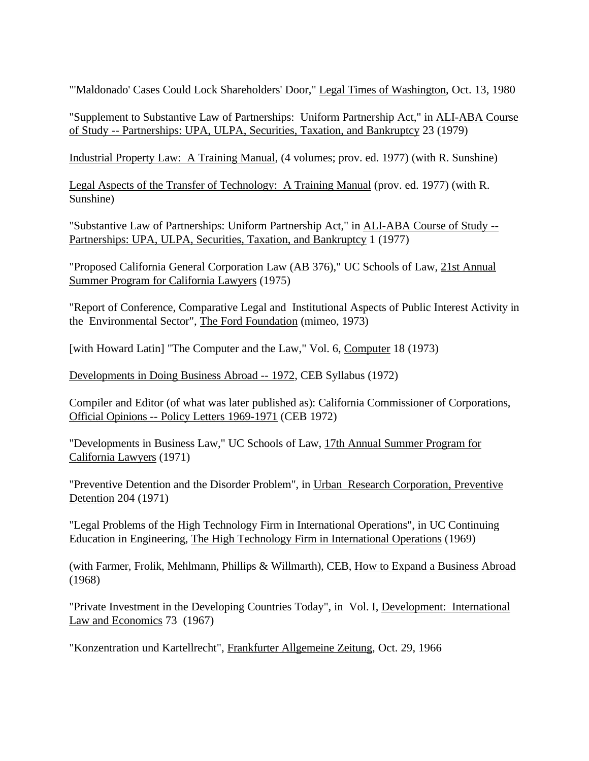"'Maldonado' Cases Could Lock Shareholders' Door," Legal Times of Washington, Oct. 13, 1980

"Supplement to Substantive Law of Partnerships: Uniform Partnership Act," in ALI-ABA Course of Study -- Partnerships: UPA, ULPA, Securities, Taxation, and Bankruptcy 23 (1979)

Industrial Property Law: A Training Manual, (4 volumes; prov. ed. 1977) (with R. Sunshine)

Legal Aspects of the Transfer of Technology: A Training Manual (prov. ed. 1977) (with R. Sunshine)

"Substantive Law of Partnerships: Uniform Partnership Act," in **ALI-ABA Course of Study --**Partnerships: UPA, ULPA, Securities, Taxation, and Bankruptcy 1 (1977)

"Proposed California General Corporation Law (AB 376)," UC Schools of Law, 21st Annual Summer Program for California Lawyers (1975)

"Report of Conference, Comparative Legal and Institutional Aspects of Public Interest Activity in the Environmental Sector", The Ford Foundation (mimeo, 1973)

[with Howard Latin] "The Computer and the Law," Vol. 6, Computer 18 (1973)

Developments in Doing Business Abroad -- 1972, CEB Syllabus (1972)

Compiler and Editor (of what was later published as): California Commissioner of Corporations, Official Opinions -- Policy Letters 1969-1971 (CEB 1972)

"Developments in Business Law," UC Schools of Law, 17th Annual Summer Program for California Lawyers (1971)

"Preventive Detention and the Disorder Problem", in Urban Research Corporation, Preventive Detention 204 (1971)

"Legal Problems of the High Technology Firm in International Operations", in UC Continuing Education in Engineering, The High Technology Firm in International Operations (1969)

(with Farmer, Frolik, Mehlmann, Phillips & Willmarth), CEB, How to Expand a Business Abroad (1968)

"Private Investment in the Developing Countries Today", in Vol. I, Development: International Law and Economics 73 (1967)

"Konzentration und Kartellrecht", Frankfurter Allgemeine Zeitung, Oct. 29, 1966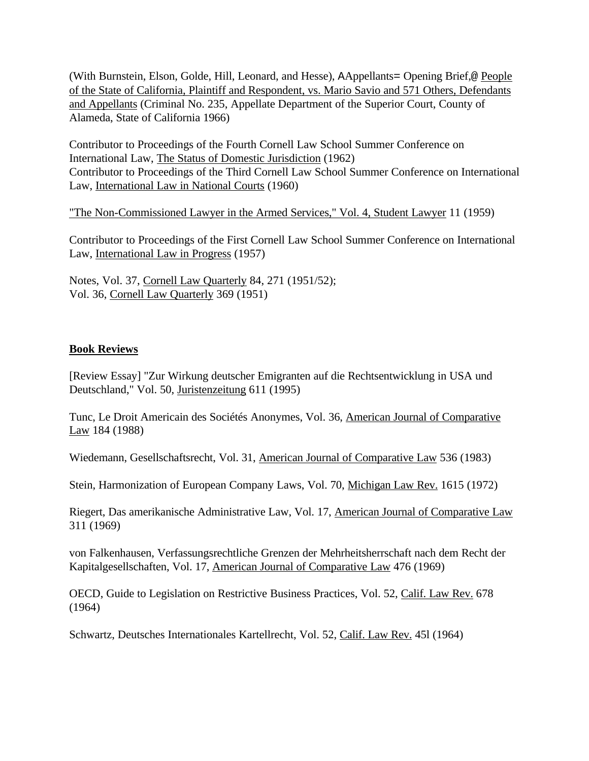(With Burnstein, Elson, Golde, Hill, Leonard, and Hesse), AAppellants= Opening Brief,@ People of the State of California, Plaintiff and Respondent, vs. Mario Savio and 571 Others, Defendants and Appellants (Criminal No. 235, Appellate Department of the Superior Court, County of Alameda, State of California 1966)

Contributor to Proceedings of the Fourth Cornell Law School Summer Conference on International Law, The Status of Domestic Jurisdiction (1962) Contributor to Proceedings of the Third Cornell Law School Summer Conference on International Law, International Law in National Courts (1960)

"The Non-Commissioned Lawyer in the Armed Services," Vol. 4, Student Lawyer 11 (1959)

Contributor to Proceedings of the First Cornell Law School Summer Conference on International Law, International Law in Progress (1957)

Notes, Vol. 37, Cornell Law Quarterly 84, 271 (1951/52); Vol. 36, Cornell Law Quarterly 369 (1951)

#### **Book Reviews**

[Review Essay] "Zur Wirkung deutscher Emigranten auf die Rechtsentwicklung in USA und Deutschland," Vol. 50, Juristenzeitung 611 (1995)

Tunc, Le Droit Americain des Sociétés Anonymes, Vol. 36, American Journal of Comparative Law 184 (1988)

Wiedemann, Gesellschaftsrecht, Vol. 31, American Journal of Comparative Law 536 (1983)

Stein, Harmonization of European Company Laws, Vol. 70, Michigan Law Rev. 1615 (1972)

Riegert, Das amerikanische Administrative Law, Vol. 17, American Journal of Comparative Law 311 (1969)

von Falkenhausen, Verfassungsrechtliche Grenzen der Mehrheitsherrschaft nach dem Recht der Kapitalgesellschaften, Vol. 17, American Journal of Comparative Law 476 (1969)

OECD, Guide to Legislation on Restrictive Business Practices, Vol. 52, Calif. Law Rev. 678 (1964)

Schwartz, Deutsches Internationales Kartellrecht, Vol. 52, Calif. Law Rev. 45l (1964)